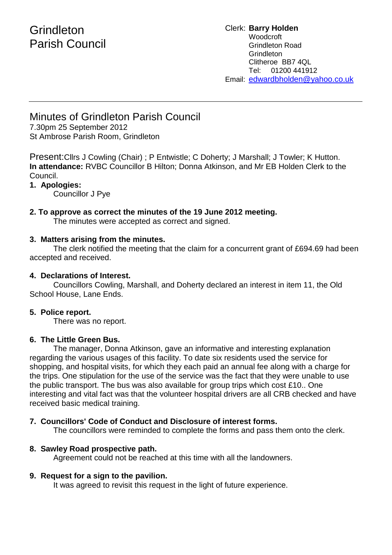# **Grindleton** Parish Council

#### Clerk: **Barry Holden** Woodcroft Grindleton Road **Grindleton** Clitheroe BB7 4QL Tel: 01200 441912 Email: [edwardbholden@yahoo.co.uk](mailto:edwardbholden@yahoo.co.uk)

# Minutes of Grindleton Parish Council

7.30pm 25 September 2012 St Ambrose Parish Room, Grindleton

Present:Cllrs J Cowling (Chair) ; P Entwistle; C Doherty; J Marshall; J Towler; K Hutton. **In attendance:** RVBC Councillor B Hilton; Donna Atkinson, and Mr EB Holden Clerk to the Council.

# **1. Apologies:**

Councillor J Pye

# **2. To approve as correct the minutes of the 19 June 2012 meeting.**

The minutes were accepted as correct and signed.

# **3. Matters arising from the minutes.**

The clerk notified the meeting that the claim for a concurrent grant of £694.69 had been accepted and received.

### **4. Declarations of Interest.**

Councillors Cowling, Marshall, and Doherty declared an interest in item 11, the Old School House, Lane Ends.

# **5. Police report.**

There was no report.

#### **6. The Little Green Bus.**

The manager, Donna Atkinson, gave an informative and interesting explanation regarding the various usages of this facility. To date six residents used the service for shopping, and hospital visits, for which they each paid an annual fee along with a charge for the trips. One stipulation for the use of the service was the fact that they were unable to use the public transport. The bus was also available for group trips which cost £10.. One interesting and vital fact was that the volunteer hospital drivers are all CRB checked and have received basic medical training.

# **7. Councillors' Code of Conduct and Disclosure of interest forms.**

The councillors were reminded to complete the forms and pass them onto the clerk.

# **8. Sawley Road prospective path.**

Agreement could not be reached at this time with all the landowners.

# **9. Request for a sign to the pavilion.**

It was agreed to revisit this request in the light of future experience.